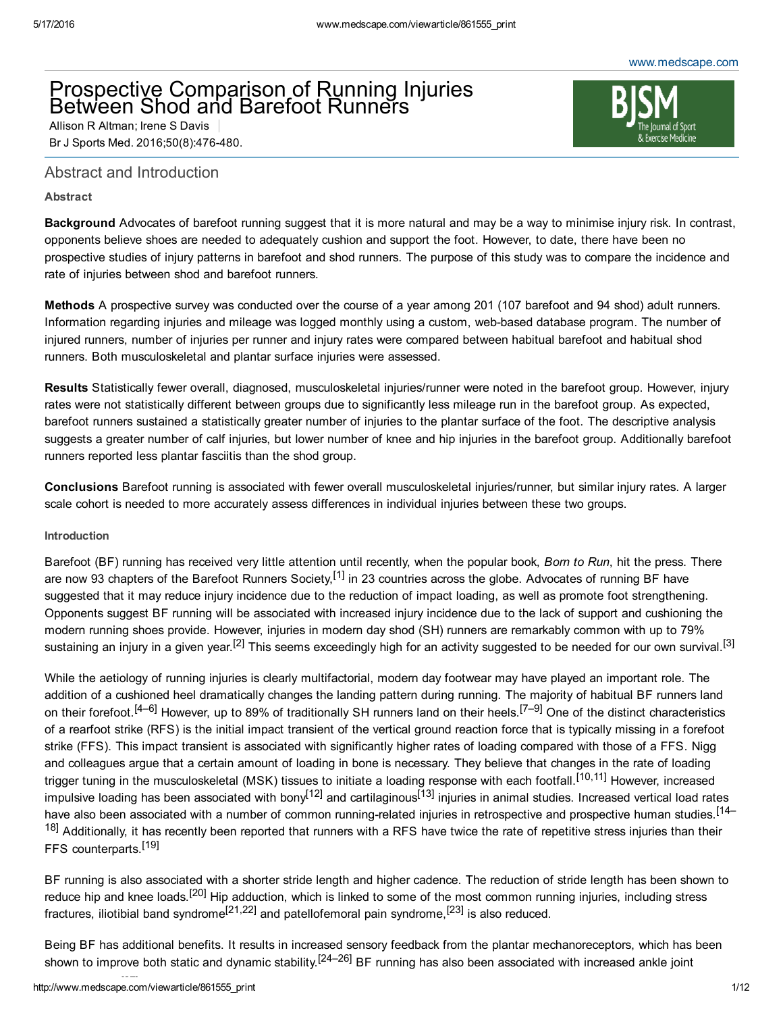[www.medscape.com](http://www.medscape.com/)

# Prospective Comparison of Running Injuries Between Shod and Barefoot Runners

Allison R Altman; Irene S Davis Br J Sports Med. 2016;50(8):476-480.

## Abstract and Introduction

### Abstract

Background Advocates of barefoot running suggest that it is more natural and may be a way to minimise injury risk. In contrast, opponents believe shoes are needed to adequately cushion and support the foot. However, to date, there have been no prospective studies of injury patterns in barefoot and shod runners. The purpose of this study was to compare the incidence and rate of injuries between shod and barefoot runners.

Methods A prospective survey was conducted over the course of a year among 201 (107 barefoot and 94 shod) adult runners. Information regarding injuries and mileage was logged monthly using a custom, web-based database program. The number of injured runners, number of injuries per runner and injury rates were compared between habitual barefoot and habitual shod runners. Both musculoskeletal and plantar surface injuries were assessed.

Results Statistically fewer overall, diagnosed, musculoskeletal injuries/runner were noted in the barefoot group. However, injury rates were not statistically different between groups due to significantly less mileage run in the barefoot group. As expected, barefoot runners sustained a statistically greater number of injuries to the plantar surface of the foot. The descriptive analysis suggests a greater number of calf injuries, but lower number of knee and hip injuries in the barefoot group. Additionally barefoot runners reported less plantar fasciitis than the shod group.

Conclusions Barefoot running is associated with fewer overall musculoskeletal injuries/runner, but similar injury rates. A larger scale cohort is needed to more accurately assess differences in individual injuries between these two groups.

### Introduction

Barefoot (BF) running has received very little attention until recently, when the popular book, *Born to Run*, hit the press. There are now 93 chapters of the Barefoot Runners Society,<sup>[1]</sup> in 23 countries across the globe. Advocates of running BF have suggested that it may reduce injury incidence due to the reduction of impact loading, as well as promote foot strengthening. Opponents suggest BF running will be associated with increased injury incidence due to the lack of support and cushioning the modern running shoes provide. However, injuries in modern day shod (SH) runners are remarkably common with up to 79% sustaining an injury in a given year.<sup>[2]</sup> This seems exceedingly high for an activity suggested to be needed for our own survival.<sup>[3]</sup>

While the aetiology of running injuries is clearly multifactorial, modern day footwear may have played an important role. The addition of a cushioned heel dramatically changes the landing pattern during running. The majority of habitual BF runners land on their forefoot.<sup>[4–6]</sup> However, up to 89% of traditionally SH runners land on their heels.<sup>[7–9]</sup> One of the distinct characteristics of a rearfoot strike (RFS) is the initial impact transient of the vertical ground reaction force that is typically missing in a forefoot strike (FFS). This impact transient is associated with significantly higher rates of loading compared with those of a FFS. Nigg and colleagues argue that a certain amount of loading in bone is necessary. They believe that changes in the rate of loading trigger tuning in the musculoskeletal (MSK) tissues to initiate a loading response with each footfall.<sup>[10,11]</sup> However, increased impulsive loading has been associated with bony<sup>[12]</sup> and cartilaginous<sup>[13]</sup> injuries in animal studies. Increased vertical load rates have also been associated with a number of common running-related injuries in retrospective and prospective human studies.<sup>[14–</sup> <sup>18]</sup> Additionally, it has recently been reported that runners with a RFS have twice the rate of repetitive stress injuries than their FFS counterparts.<sup>[19]</sup>

BF running is also associated with a shorter stride length and higher cadence. The reduction of stride length has been shown to reduce hip and knee loads.<sup>[20]</sup> Hip adduction, which is linked to some of the most common running injuries, including stress fractures, iliotibial band syndrome<sup>[21,22]</sup> and patellofemoral pain syndrome,<sup>[23]</sup> is also reduced.

Being BF has additional benefits. It results in increased sensory feedback from the plantar mechanoreceptors, which has been shown to improve both static and dynamic stability.<sup>[24–26]</sup> BF running has also been associated with increased ankle joint

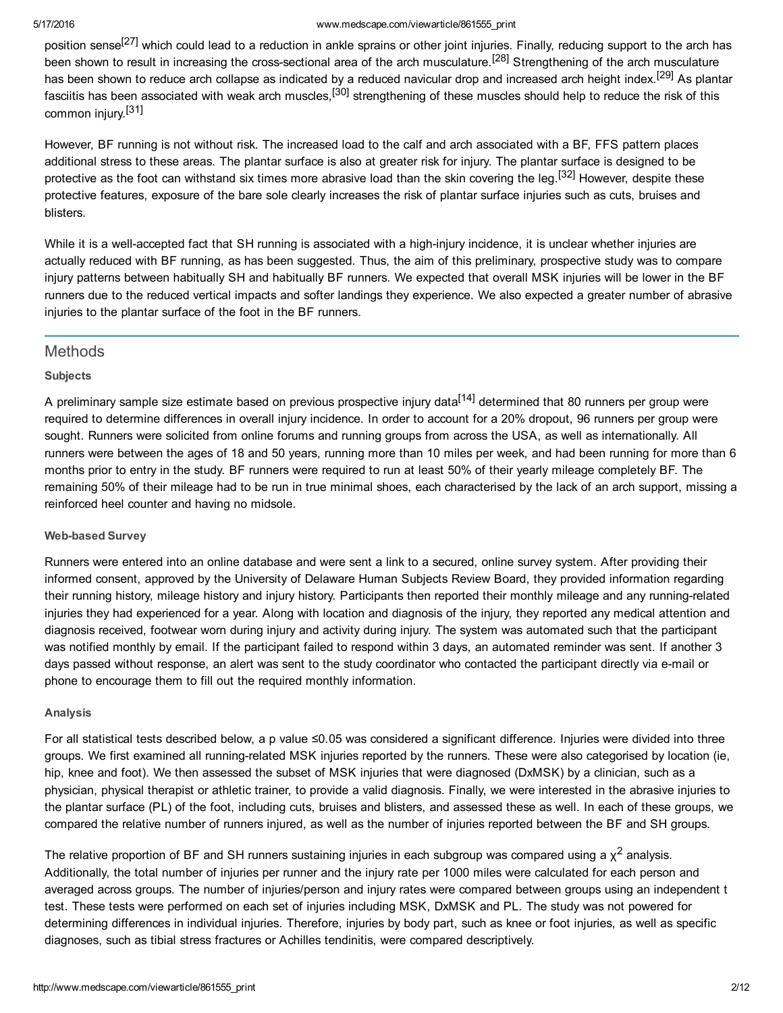position sense<sup>[27]</sup> which could lead to a reduction in ankle sprains or other joint injuries. Finally, reducing support to the arch has been shown to result in increasing the cross-sectional area of the arch musculature.<sup>[28]</sup> Strengthening of the arch musculature has been shown to reduce arch collapse as indicated by a reduced navicular drop and increased arch height index.<sup>[29]</sup> As plantar fasciitis has been associated with weak arch muscles,<sup>[30]</sup> strengthening of these muscles should help to reduce the risk of this common injury.<sup>[31]</sup>

However, BF running is not without risk. The increased load to the calf and arch associated with a BF, FFS pattern places additional stress to these areas. The plantar surface is also at greater risk for injury. The plantar surface is designed to be protective as the foot can withstand six times more abrasive load than the skin covering the leg.<sup>[32]</sup> However, despite these protective features, exposure of the bare sole clearly increases the risk of plantar surface injuries such as cuts, bruises and blisters.

While it is a well-accepted fact that SH running is associated with a high-injury incidence, it is unclear whether injuries are actually reduced with BF running, as has been suggested. Thus, the aim of this preliminary, prospective study was to compare injury patterns between habitually SH and habitually BF runners. We expected that overall MSK injuries will be lower in the BF runners due to the reduced vertical impacts and softer landings they experience. We also expected a greater number of abrasive injuries to the plantar surface of the foot in the BF runners.

## **Methods**

## **Subjects**

A preliminary sample size estimate based on previous prospective injury data<sup>[14]</sup> determined that 80 runners per group were required to determine differences in overall injury incidence. In order to account for a 20% dropout, 96 runners per group were sought. Runners were solicited from online forums and running groups from across the USA, as well as internationally. All runners were between the ages of 18 and 50 years, running more than 10 miles per week, and had been running for more than 6 months prior to entry in the study. BF runners were required to run at least 50% of their yearly mileage completely BF. The remaining 50% of their mileage had to be run in true minimal shoes, each characterised by the lack of an arch support, missing a reinforced heel counter and having no midsole.

### Web-based Survey

Runners were entered into an online database and were sent a link to a secured, online survey system. After providing their informed consent, approved by the University of Delaware Human Subjects Review Board, they provided information regarding their running history, mileage history and injury history. Participants then reported their monthly mileage and any runningrelated injuries they had experienced for a year. Along with location and diagnosis of the injury, they reported any medical attention and diagnosis received, footwear worn during injury and activity during injury. The system was automated such that the participant was notified monthly by email. If the participant failed to respond within 3 days, an automated reminder was sent. If another 3 days passed without response, an alert was sent to the study coordinator who contacted the participant directly via e-mail or phone to encourage them to fill out the required monthly information.

### Analysis

For all statistical tests described below, a p value ≤0.05 was considered a significant difference. Injuries were divided into three groups. We first examined all running-related MSK injuries reported by the runners. These were also categorised by location (ie, hip, knee and foot). We then assessed the subset of MSK injuries that were diagnosed (DxMSK) by a clinician, such as a physician, physical therapist or athletic trainer, to provide a valid diagnosis. Finally, we were interested in the abrasive injuries to the plantar surface (PL) of the foot, including cuts, bruises and blisters, and assessed these as well. In each of these groups, we compared the relative number of runners injured, as well as the number of injuries reported between the BF and SH groups.

The relative proportion of BF and SH runners sustaining injuries in each subgroup was compared using a  $\chi^2$  analysis. Additionally, the total number of injuries per runner and the injury rate per 1000 miles were calculated for each person and averaged across groups. The number of injuries/person and injury rates were compared between groups using an independent t test. These tests were performed on each set of injuries including MSK, DxMSK and PL. The study was not powered for determining differences in individual injuries. Therefore, injuries by body part, such as knee or foot injuries, as well as specific diagnoses, such as tibial stress fractures or Achilles tendinitis, were compared descriptively.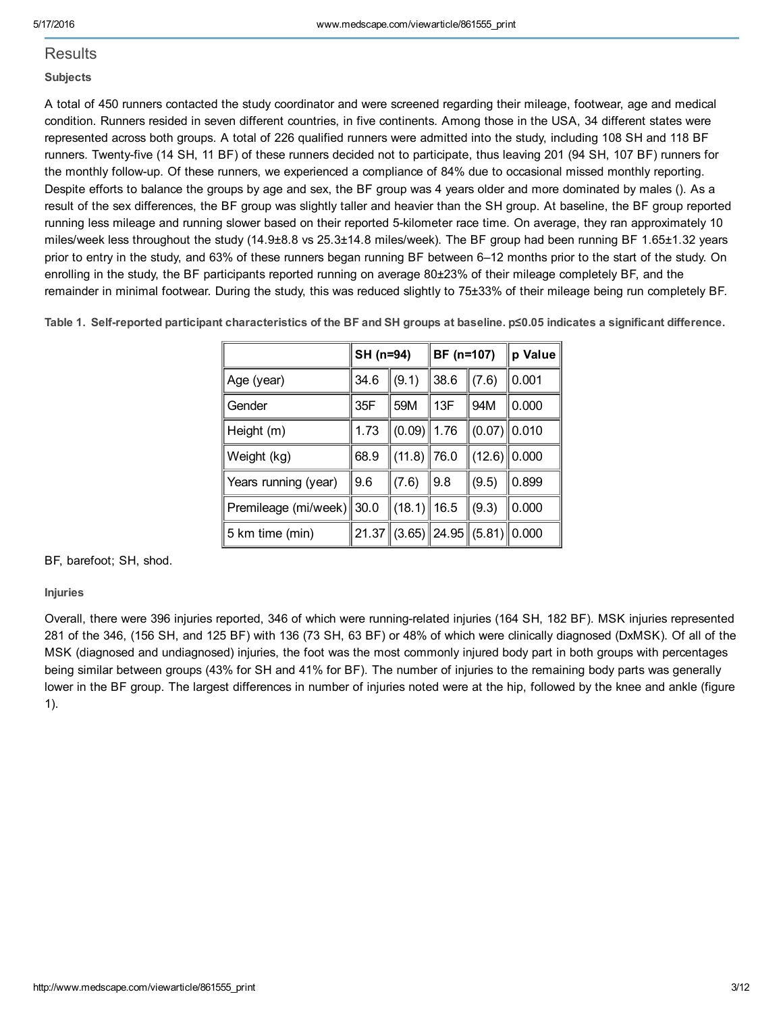## **Results**

## **Subjects**

A total of 450 runners contacted the study coordinator and were screened regarding their mileage, footwear, age and medical condition. Runners resided in seven different countries, in five continents. Among those in the USA, 34 different states were represented across both groups. A total of 226 qualified runners were admitted into the study, including 108 SH and 118 BF runners. Twenty-five (14 SH, 11 BF) of these runners decided not to participate, thus leaving 201 (94 SH, 107 BF) runners for the monthly followup. Of these runners, we experienced a compliance of 84% due to occasional missed monthly reporting. Despite efforts to balance the groups by age and sex, the BF group was 4 years older and more dominated by males (). As a result of the sex differences, the BF group was slightly taller and heavier than the SH group. At baseline, the BF group reported running less mileage and running slower based on their reported 5-kilometer race time. On average, they ran approximately 10 miles/week less throughout the study (14.9±8.8 vs 25.3±14.8 miles/week). The BF group had been running BF 1.65±1.32 years prior to entry in the study, and 63% of these runners began running BF between 6–12 months prior to the start of the study. On enrolling in the study, the BF participants reported running on average 80±23% of their mileage completely BF, and the remainder in minimal footwear. During the study, this was reduced slightly to 75±33% of their mileage being run completely BF.

| Table 1. Self-reported participant characteristics of the BF and SH groups at baseline. p≤0.05 indicates a significant difference. |  |  |  |
|------------------------------------------------------------------------------------------------------------------------------------|--|--|--|
|                                                                                                                                    |  |  |  |

|                             | SH (n=94) |        | BF (n=107) |                      | p Value          |
|-----------------------------|-----------|--------|------------|----------------------|------------------|
| Age (year)                  | 34.6      | (9.1)  | 38.6       | (7.6)                | 0.001            |
| Gender                      | 35F       | 59M    | 13F        | 94M                  | 0.000            |
| Height (m)                  | 1.73      | (0.09) | 1.76       |                      | $(0.07)$   0.010 |
| Weight (kg)                 | 68.9      | (11.8) | 76.0       | $(12.6)$   0.000     |                  |
| Years running (year)        | 9.6       | (7.6)  | 9.8        | (9.5)                | 0.899            |
| Premileage (mi/week)   30.0 |           | (18.1) | 16.5       | (9.3)                | 0.000            |
| 5 km time (min)             | 21.37     | (3.65) |            | $24.95$ (5.81) 0.000 |                  |

## BF, barefoot; SH, shod.

## Injuries

Overall, there were 396 injuries reported, 346 of which were running-related injuries (164 SH, 182 BF). MSK injuries represented 281 of the 346, (156 SH, and 125 BF) with 136 (73 SH, 63 BF) or 48% of which were clinically diagnosed (DxMSK). Of all of the MSK (diagnosed and undiagnosed) injuries, the foot was the most commonly injured body part in both groups with percentages being similar between groups (43% for SH and 41% for BF). The number of injuries to the remaining body parts was generally lower in the BF group. The largest differences in number of injuries noted were at the hip, followed by the knee and ankle (figure 1).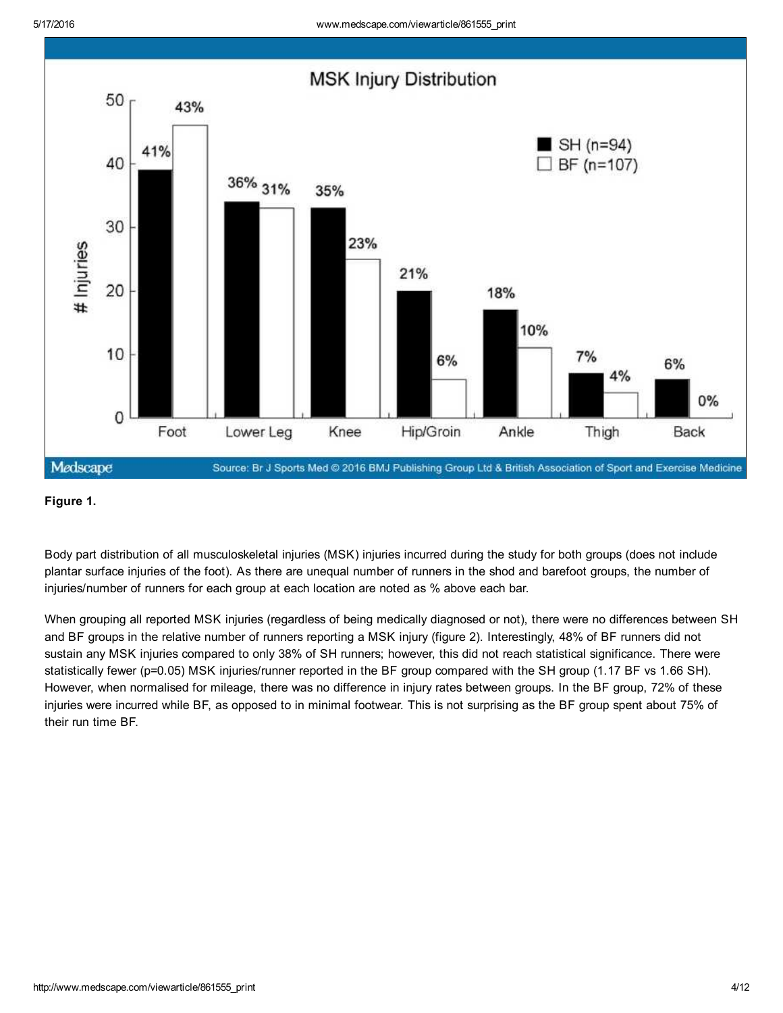

## Figure 1.

Body part distribution of all musculoskeletal injuries (MSK) injuries incurred during the study for both groups (does not include plantar surface injuries of the foot). As there are unequal number of runners in the shod and barefoot groups, the number of injuries/number of runners for each group at each location are noted as % above each bar.

When grouping all reported MSK injuries (regardless of being medically diagnosed or not), there were no differences between SH and BF groups in the relative number of runners reporting a MSK injury (figure 2). Interestingly, 48% of BF runners did not sustain any MSK injuries compared to only 38% of SH runners; however, this did not reach statistical significance. There were statistically fewer (p=0.05) MSK injuries/runner reported in the BF group compared with the SH group (1.17 BF vs 1.66 SH). However, when normalised for mileage, there was no difference in injury rates between groups. In the BF group, 72% of these injuries were incurred while BF, as opposed to in minimal footwear. This is not surprising as the BF group spent about 75% of their run time BF.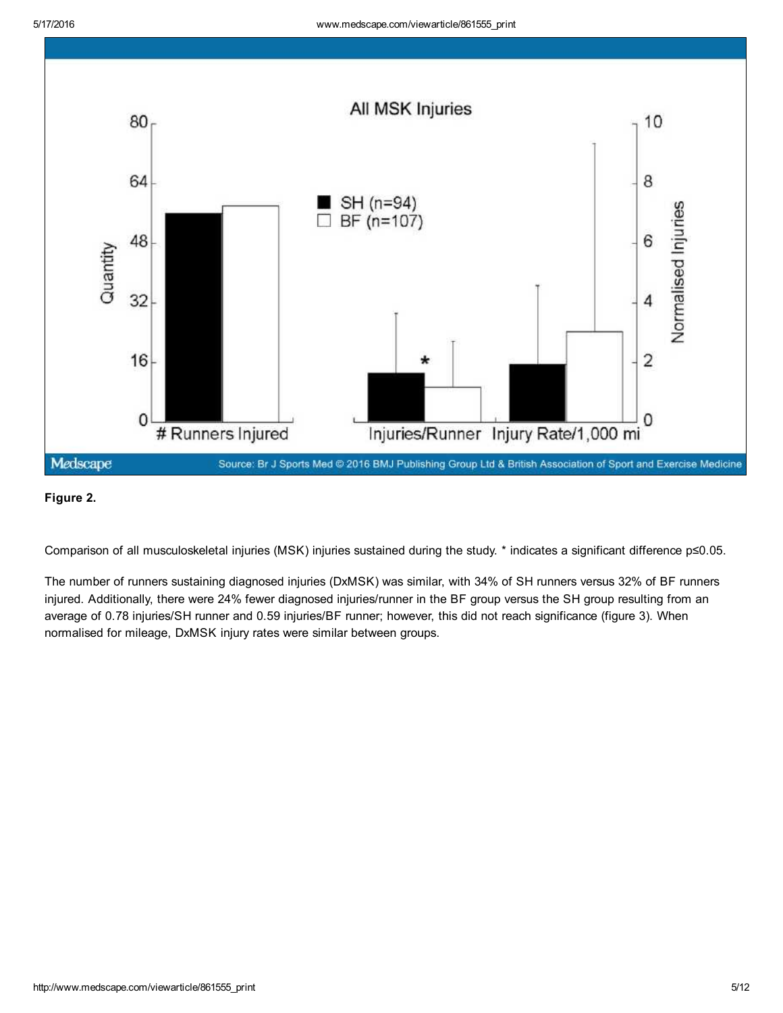

## Figure 2.

Comparison of all musculoskeletal injuries (MSK) injuries sustained during the study. \* indicates a significant difference p≤0.05.

The number of runners sustaining diagnosed injuries (DxMSK) was similar, with 34% of SH runners versus 32% of BF runners injured. Additionally, there were 24% fewer diagnosed injuries/runner in the BF group versus the SH group resulting from an average of 0.78 injuries/SH runner and 0.59 injuries/BF runner; however, this did not reach significance (figure 3). When normalised for mileage, DxMSK injury rates were similar between groups.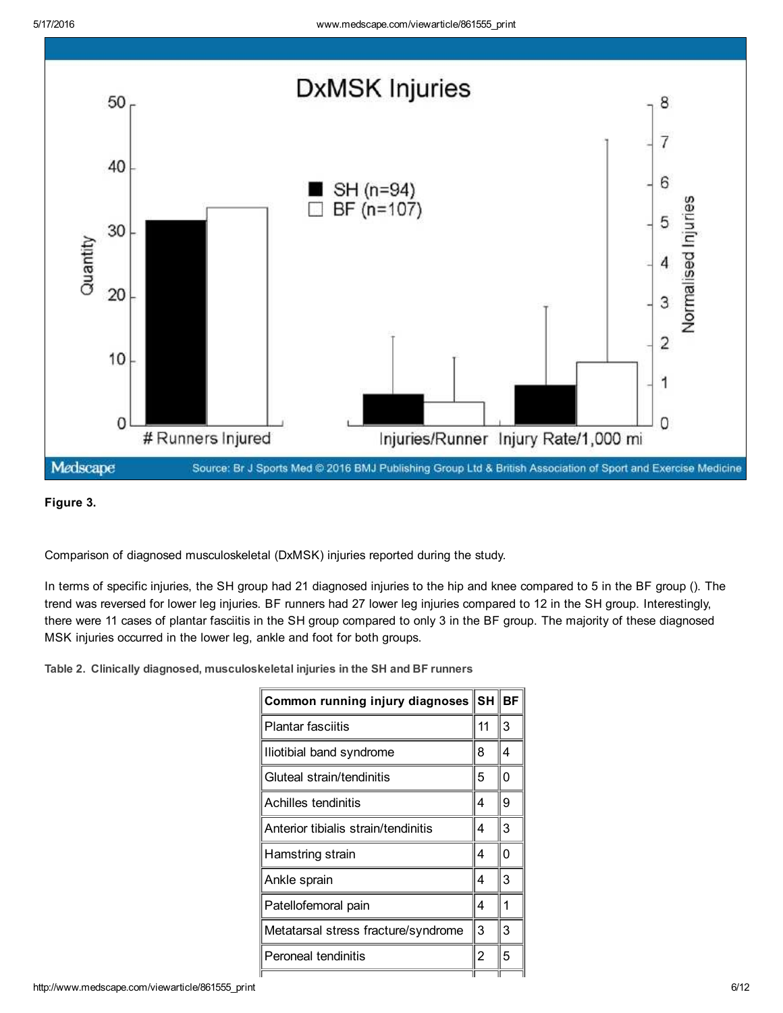

## Figure 3.

Comparison of diagnosed musculoskeletal (DxMSK) injuries reported during the study.

In terms of specific injuries, the SH group had 21 diagnosed injuries to the hip and knee compared to 5 in the BF group (). The trend was reversed for lower leg injuries. BF runners had 27 lower leg injuries compared to 12 in the SH group. Interestingly, there were 11 cases of plantar fasciitis in the SH group compared to only 3 in the BF group. The majority of these diagnosed MSK injuries occurred in the lower leg, ankle and foot for both groups.

Table 2. Clinically diagnosed, musculoskeletal injuries in the SH and BF runners

| Common running injury diagnoses     | <b>SH</b> | <b>BF</b> |
|-------------------------------------|-----------|-----------|
| <b>Plantar fasciitis</b>            | 11        | 3         |
| Iliotibial band syndrome            | 8         | 4         |
| Gluteal strain/tendinitis           | 5         | 0         |
| Achilles tendinitis                 | 4         | 9         |
| Anterior tibialis strain/tendinitis | 4         | 3         |
| Hamstring strain                    | 4         | 0         |
| Ankle sprain                        | 4         | 3         |
| Patellofemoral pain                 | 4         | 1         |
| Metatarsal stress fracture/syndrome | 3         | 3         |
| Peroneal tendinitis                 | 2         | 5         |
|                                     |           |           |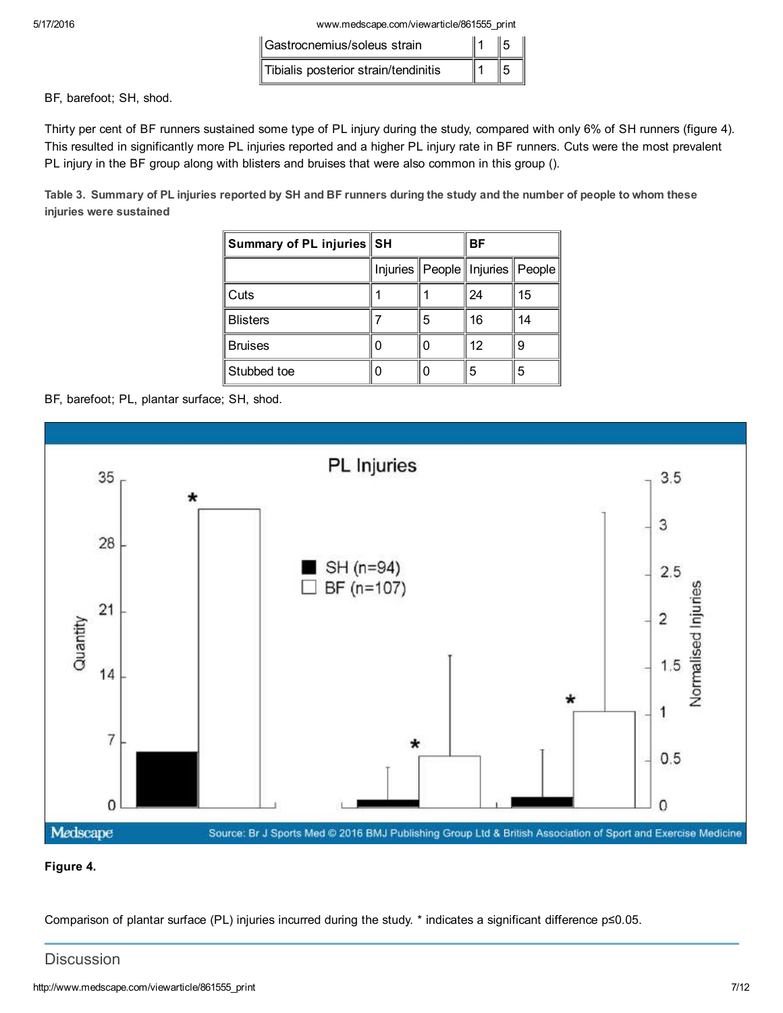| Gastrocnemius/soleus strain          | 15 |
|--------------------------------------|----|
| Tibialis posterior strain/tendinitis | 15 |

BF, barefoot; SH, shod.

Thirty per cent of BF runners sustained some type of PL injury during the study, compared with only 6% of SH runners (figure 4). This resulted in significantly more PL injuries reported and a higher PL injury rate in BF runners. Cuts were the most prevalent PL injury in the BF group along with blisters and bruises that were also common in this group ().

Table 3. Summary of PL injuries reported by SH and BF runners during the study and the number of people to whom these injuries were sustained

| Summary of PL injuries SH |   |   | ΒF                                       |    |
|---------------------------|---|---|------------------------------------------|----|
|                           |   |   | Injuries    People    Injuries    People |    |
| Cuts                      |   |   | 24                                       | 15 |
| <b>Blisters</b>           |   | 5 | 16                                       | 14 |
| <b>Bruises</b>            | Ω |   | 12                                       | 9  |
| Stubbed toe               | Ω |   | 5                                        | 5  |

BF, barefoot; PL, plantar surface; SH, shod.



## Figure 4.

Comparison of plantar surface (PL) injuries incurred during the study. \* indicates a significant difference p≤0.05.

## **Discussion**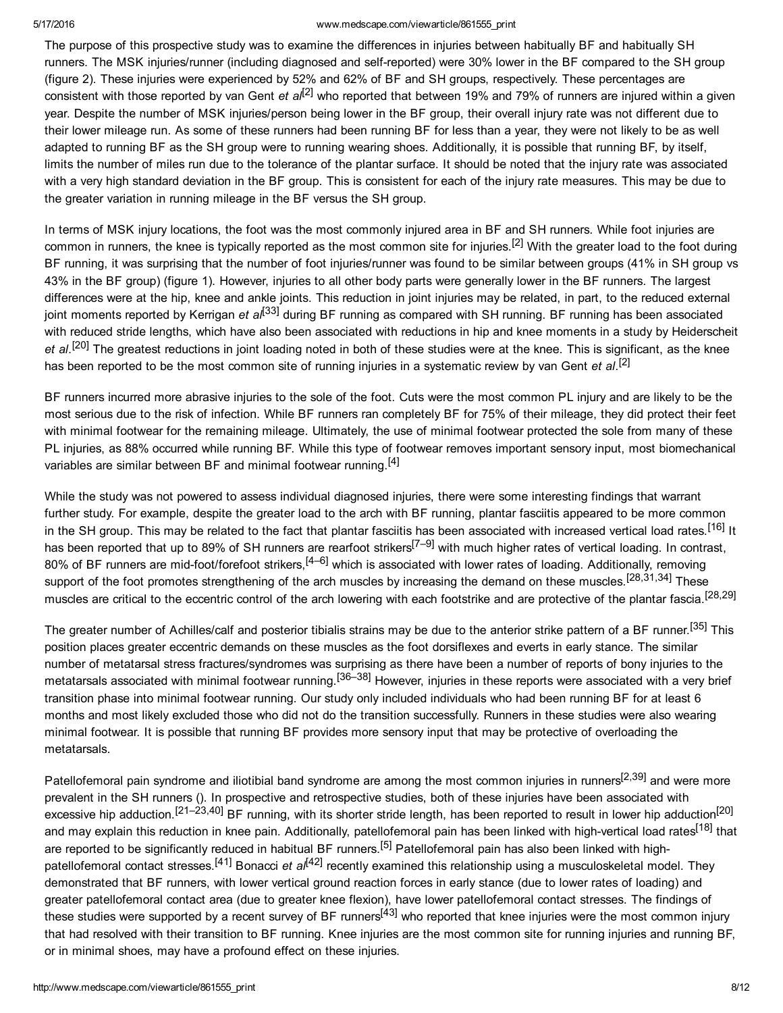The purpose of this prospective study was to examine the differences in injuries between habitually BF and habitually SH runners. The MSK injuries/runner (including diagnosed and self-reported) were 30% lower in the BF compared to the SH group (figure 2). These injuries were experienced by 52% and 62% of BF and SH groups, respectively. These percentages are consistent with those reported by van Gent *et al*<sup>[2]</sup> who reported that between 19% and 79% of runners are injured within a given year. Despite the number of MSK injuries/person being lower in the BF group, their overall injury rate was not different due to their lower mileage run. As some of these runners had been running BF for less than a year, they were not likely to be as well adapted to running BF as the SH group were to running wearing shoes. Additionally, it is possible that running BF, by itself, limits the number of miles run due to the tolerance of the plantar surface. It should be noted that the injury rate was associated with a very high standard deviation in the BF group. This is consistent for each of the injury rate measures. This may be due to the greater variation in running mileage in the BF versus the SH group.

In terms of MSK injury locations, the foot was the most commonly injured area in BF and SH runners. While foot injuries are common in runners, the knee is typically reported as the most common site for injuries.<sup>[2]</sup> With the greater load to the foot during BF running, it was surprising that the number of foot injuries/runner was found to be similar between groups (41% in SH group vs 43% in the BF group) (figure 1). However, injuries to all other body parts were generally lower in the BF runners. The largest differences were at the hip, knee and ankle joints. This reduction in joint injuries may be related, in part, to the reduced external joint moments reported by Kerrigan *et al*<sup>[33]</sup> during BF running as compared with SH running. BF running has been associated with reduced stride lengths, which have also been associated with reductions in hip and knee moments in a study by Heiderscheit *et al*. [20] The greatest reductions in joint loading noted in both of these studies were at the knee. This is significant, as the knee has been reported to be the most common site of running injuries in a systematic review by van Gent *et al*. [2]

BF runners incurred more abrasive injuries to the sole of the foot. Cuts were the most common PL injury and are likely to be the most serious due to the risk of infection. While BF runners ran completely BF for 75% of their mileage, they did protect their feet with minimal footwear for the remaining mileage. Ultimately, the use of minimal footwear protected the sole from many of these PL injuries, as 88% occurred while running BF. While this type of footwear removes important sensory input, most biomechanical variables are similar between BF and minimal footwear running.<sup>[4]</sup>

While the study was not powered to assess individual diagnosed injuries, there were some interesting findings that warrant further study. For example, despite the greater load to the arch with BF running, plantar fasciitis appeared to be more common in the SH group. This may be related to the fact that plantar fasciitis has been associated with increased vertical load rates.<sup>[16]</sup> It has been reported that up to 89% of SH runners are rearfoot strikers<sup>[7–9]</sup> with much higher rates of vertical loading. In contrast, 80% of BF runners are mid-foot/forefoot strikers,<sup>[4–6]</sup> which is associated with lower rates of loading. Additionally, removing support of the foot promotes strengthening of the arch muscles by increasing the demand on these muscles.<sup>[28,31,34]</sup> These muscles are critical to the eccentric control of the arch lowering with each footstrike and are protective of the plantar fascia.<sup>[28,29]</sup>

The greater number of Achilles/calf and posterior tibialis strains may be due to the anterior strike pattern of a BF runner.<sup>[35]</sup> This position places greater eccentric demands on these muscles as the foot dorsiflexes and everts in early stance. The similar number of metatarsal stress fractures/syndromes was surprising as there have been a number of reports of bony injuries to the metatarsals associated with minimal footwear running.<sup>[36–38]</sup> However, injuries in these reports were associated with a very brief transition phase into minimal footwear running. Our study only included individuals who had been running BF for at least 6 months and most likely excluded those who did not do the transition successfully. Runners in these studies were also wearing minimal footwear. It is possible that running BF provides more sensory input that may be protective of overloading the metatarsals.

Patellofemoral pain syndrome and iliotibial band syndrome are among the most common injuries in runners<sup>[2,39]</sup> and were more prevalent in the SH runners (). In prospective and retrospective studies, both of these injuries have been associated with excessive hip adduction.<sup>[21–23,40]</sup> BF running, with its shorter stride length, has been reported to result in lower hip adduction<sup>[20]</sup> and may explain this reduction in knee pain. Additionally, patellofemoral pain has been linked with high-vertical load rates<sup>[18]</sup> that are reported to be significantly reduced in habitual BF runners.<sup>[5]</sup> Patellofemoral pain has also been linked with highpatellofemoral contact stresses.<sup>[41]</sup> Bonacci *et al*<sup>[42]</sup> recently examined this relationship using a musculoskeletal model. They demonstrated that BF runners, with lower vertical ground reaction forces in early stance (due to lower rates of loading) and greater patellofemoral contact area (due to greater knee flexion), have lower patellofemoral contact stresses. The findings of these studies were supported by a recent survey of BF runners<sup>[43]</sup> who reported that knee injuries were the most common injury that had resolved with their transition to BF running. Knee injuries are the most common site for running injuries and running BF, or in minimal shoes, may have a profound effect on these injuries.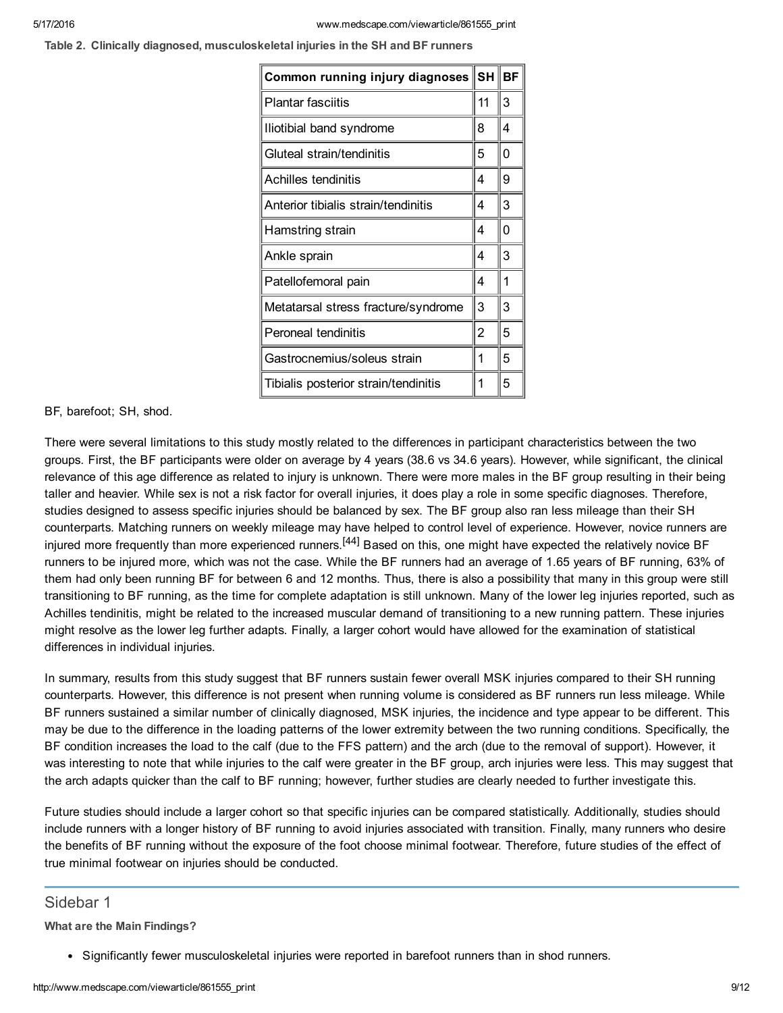#### Table 2. Clinically diagnosed, musculoskeletal injuries in the SH and BF runners

| Common running injury diagnoses      | <b>SH</b> | <b>BF</b> |
|--------------------------------------|-----------|-----------|
| <b>Plantar fasciitis</b>             | 11        | 3         |
| Iliotibial band syndrome             | 8         | 4         |
| Gluteal strain/tendinitis            | 5         | 0         |
| Achilles tendinitis                  | 4         | 9         |
| Anterior tibialis strain/tendinitis  | 4         | 3         |
| Hamstring strain                     | 4         | 0         |
| Ankle sprain                         | 4         | 3         |
| Patellofemoral pain                  | 4         | 1         |
| Metatarsal stress fracture/syndrome  | 3         | 3         |
| Peroneal tendinitis                  | 2         | 5         |
| Gastrocnemius/soleus strain          | 1         | 5         |
| Tibialis posterior strain/tendinitis | 1         | 5         |

## BF, barefoot; SH, shod.

There were several limitations to this study mostly related to the differences in participant characteristics between the two groups. First, the BF participants were older on average by 4 years (38.6 vs 34.6 years). However, while significant, the clinical relevance of this age difference as related to injury is unknown. There were more males in the BF group resulting in their being taller and heavier. While sex is not a risk factor for overall injuries, it does play a role in some specific diagnoses. Therefore, studies designed to assess specific injuries should be balanced by sex. The BF group also ran less mileage than their SH counterparts. Matching runners on weekly mileage may have helped to control level of experience. However, novice runners are injured more frequently than more experienced runners.<sup>[44]</sup> Based on this, one might have expected the relatively novice BF runners to be injured more, which was not the case. While the BF runners had an average of 1.65 years of BF running, 63% of them had only been running BF for between 6 and 12 months. Thus, there is also a possibility that many in this group were still transitioning to BF running, as the time for complete adaptation is still unknown. Many of the lower leg injuries reported, such as Achilles tendinitis, might be related to the increased muscular demand of transitioning to a new running pattern. These injuries might resolve as the lower leg further adapts. Finally, a larger cohort would have allowed for the examination of statistical differences in individual injuries.

In summary, results from this study suggest that BF runners sustain fewer overall MSK injuries compared to their SH running counterparts. However, this difference is not present when running volume is considered as BF runners run less mileage. While BF runners sustained a similar number of clinically diagnosed, MSK injuries, the incidence and type appear to be different. This may be due to the difference in the loading patterns of the lower extremity between the two running conditions. Specifically, the BF condition increases the load to the calf (due to the FFS pattern) and the arch (due to the removal of support). However, it was interesting to note that while injuries to the calf were greater in the BF group, arch injuries were less. This may suggest that the arch adapts quicker than the calf to BF running; however, further studies are clearly needed to further investigate this.

Future studies should include a larger cohort so that specific injuries can be compared statistically. Additionally, studies should include runners with a longer history of BF running to avoid injuries associated with transition. Finally, many runners who desire the benefits of BF running without the exposure of the foot choose minimal footwear. Therefore, future studies of the effect of true minimal footwear on injuries should be conducted.

## Sidebar 1

What are the Main Findings?

Significantly fewer musculoskeletal injuries were reported in barefoot runners than in shod runners.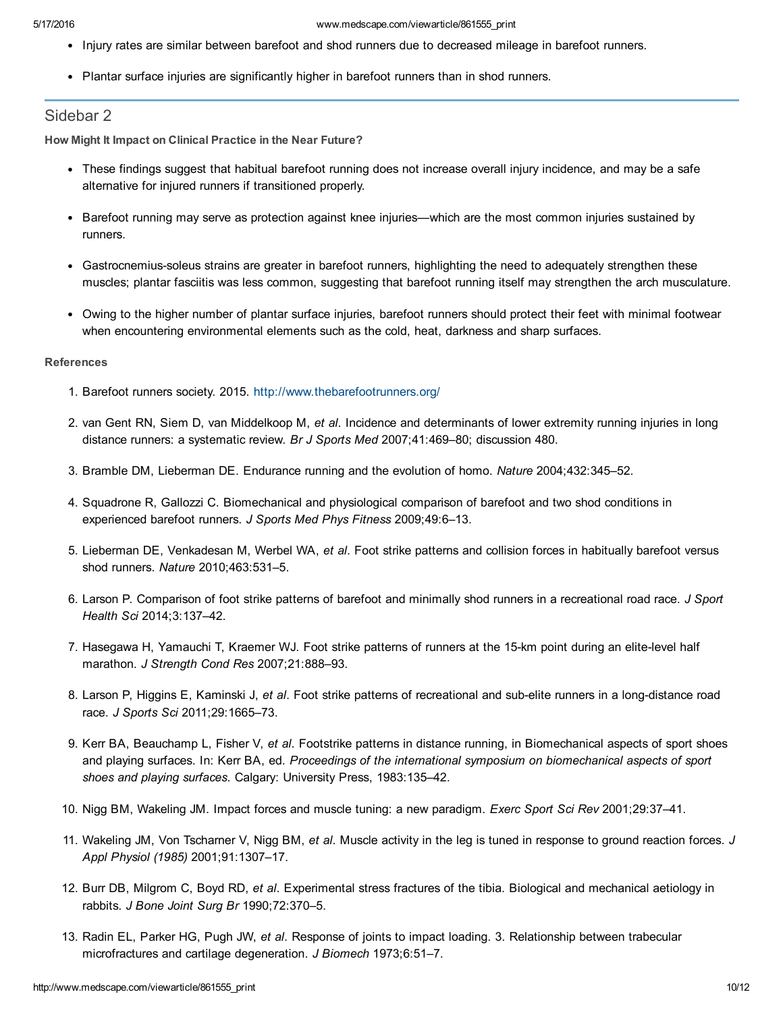- Injury rates are similar between barefoot and shod runners due to decreased mileage in barefoot runners.
- Plantar surface injuries are significantly higher in barefoot runners than in shod runners.

## Sidebar 2

How Might It Impact on Clinical Practice in the Near Future?

- These findings suggest that habitual barefoot running does not increase overall injury incidence, and may be a safe alternative for injured runners if transitioned properly.
- Barefoot running may serve as protection against knee injuries—which are the most common injuries sustained by runners.
- Gastrocnemius-soleus strains are greater in barefoot runners, highlighting the need to adequately strengthen these muscles; plantar fasciitis was less common, suggesting that barefoot running itself may strengthen the arch musculature.
- Owing to the higher number of plantar surface injuries, barefoot runners should protect their feet with minimal footwear when encountering environmental elements such as the cold, heat, darkness and sharp surfaces.

## References

- 1. Barefoot runners society. 2015. <http://www.thebarefootrunners.org/>
- 2. van Gent RN, Siem D, van Middelkoop M, *et al*. Incidence and determinants of lower extremity running injuries in long distance runners: a systematic review. *Br J Sports Med* 2007;41:469–80; discussion 480.
- 3. Bramble DM, Lieberman DE. Endurance running and the evolution of homo. *Nature* 2004;432:345–52.
- 4. Squadrone R, Gallozzi C. Biomechanical and physiological comparison of barefoot and two shod conditions in experienced barefoot runners. *J Sports Med Phys Fitness* 2009;49:6–13.
- 5. Lieberman DE, Venkadesan M, Werbel WA, *et al*. Foot strike patterns and collision forces in habitually barefoot versus shod runners. *Nature* 2010;463:531–5.
- 6. Larson P. Comparison of foot strike patterns of barefoot and minimally shod runners in a recreational road race. *J Sport Health Sci* 2014;3:137–42.
- 7. Hasegawa H, Yamauchi T, Kraemer WJ. Foot strike patterns of runners at the 15-km point during an elite-level half marathon. *J Strength Cond Res* 2007;21:888–93.
- 8. Larson P, Higgins E, Kaminski J, *et al.* Foot strike patterns of recreational and sub-elite runners in a long-distance road race. *J Sports Sci* 2011;29:1665–73.
- 9. Kerr BA, Beauchamp L, Fisher V, *et al*. Footstrike patterns in distance running, in Biomechanical aspects of sport shoes and playing surfaces. In: Kerr BA, ed. *Proceedings of the international symposium on biomechanical aspects of sport shoes and playing surfaces*. Calgary: University Press, 1983:135–42.
- 10. Nigg BM, Wakeling JM. Impact forces and muscle tuning: a new paradigm. *Exerc Sport Sci Rev* 2001;29:37–41.
- 11. Wakeling JM, Von Tscharner V, Nigg BM, *et al*. Muscle activity in the leg is tuned in response to ground reaction forces. *J Appl Physiol (1985)* 2001;91:1307–17.
- 12. Burr DB, Milgrom C, Boyd RD, *et al*. Experimental stress fractures of the tibia. Biological and mechanical aetiology in rabbits. *J Bone Joint Surg Br* 1990;72:370–5.
- 13. Radin EL, Parker HG, Pugh JW, *et al*. Response of joints to impact loading. 3. Relationship between trabecular microfractures and cartilage degeneration. *J Biomech* 1973;6:51–7.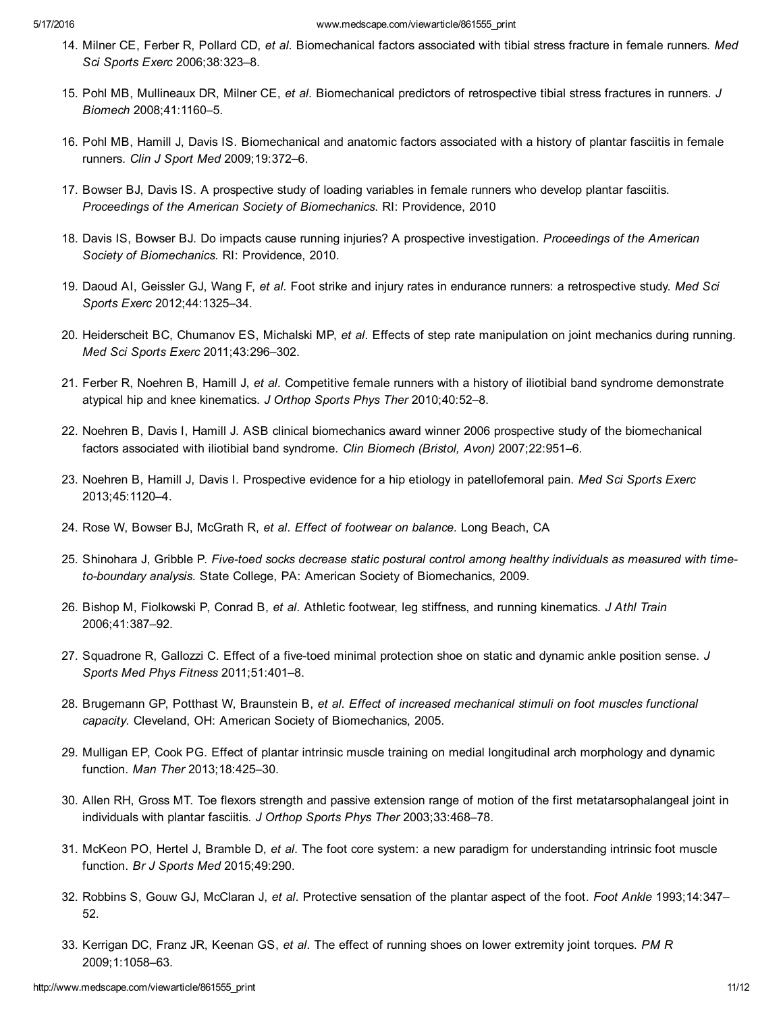- 14. Milner CE, Ferber R, Pollard CD, *et al*. Biomechanical factors associated with tibial stress fracture in female runners. *Med Sci Sports Exerc* 2006;38:323–8.
- 15. Pohl MB, Mullineaux DR, Milner CE, *et al*. Biomechanical predictors of retrospective tibial stress fractures in runners. *J Biomech* 2008;41:1160–5.
- 16. Pohl MB, Hamill J, Davis IS. Biomechanical and anatomic factors associated with a history of plantar fasciitis in female runners. *Clin J Sport Med* 2009;19:372–6.
- 17. Bowser BJ, Davis IS. A prospective study of loading variables in female runners who develop plantar fasciitis. *Proceedings of the American Society of Biomechanics*. RI: Providence, 2010
- 18. Davis IS, Bowser BJ. Do impacts cause running injuries? A prospective investigation. *Proceedings of the American Society of Biomechanics*. RI: Providence, 2010.
- 19. Daoud AI, Geissler GJ, Wang F, *et al*. Foot strike and injury rates in endurance runners: a retrospective study. *Med Sci Sports Exerc* 2012;44:1325–34.
- 20. Heiderscheit BC, Chumanov ES, Michalski MP, *et al*. Effects of step rate manipulation on joint mechanics during running. *Med Sci Sports Exerc* 2011;43:296–302.
- 21. Ferber R, Noehren B, Hamill J, *et al*. Competitive female runners with a history of iliotibial band syndrome demonstrate atypical hip and knee kinematics. *J Orthop Sports Phys Ther* 2010;40:52–8.
- 22. Noehren B, Davis I, Hamill J. ASB clinical biomechanics award winner 2006 prospective study of the biomechanical factors associated with iliotibial band syndrome. *Clin Biomech (Bristol, Avon)* 2007;22:951–6.
- 23. Noehren B, Hamill J, Davis I. Prospective evidence for a hip etiology in patellofemoral pain. *Med Sci Sports Exerc* 2013;45:1120–4.
- 24. Rose W, Bowser BJ, McGrath R, *et al*. *Effect of footwear on balance*. Long Beach, CA
- 25. Shinohara J, Gribble P. *Fivetoed socks decrease static postural control among healthy individuals as measured with timetoboundary analysis*. State College, PA: American Society of Biomechanics, 2009.
- 26. Bishop M, Fiolkowski P, Conrad B, *et al*. Athletic footwear, leg stiffness, and running kinematics. *J Athl Train* 2006;41:387–92.
- 27. Squadrone R, Gallozzi C. Effect of a fivetoed minimal protection shoe on static and dynamic ankle position sense. *J Sports Med Phys Fitness* 2011;51:401–8.
- 28. Brugemann GP, Potthast W, Braunstein B, *et al*. *Effect of increased mechanical stimuli on foot muscles functional capacity*. Cleveland, OH: American Society of Biomechanics, 2005.
- 29. Mulligan EP, Cook PG. Effect of plantar intrinsic muscle training on medial longitudinal arch morphology and dynamic function. *Man Ther* 2013;18:425–30.
- 30. Allen RH, Gross MT. Toe flexors strength and passive extension range of motion of the first metatarsophalangeal joint in individuals with plantar fasciitis. *J Orthop Sports Phys Ther* 2003;33:468–78.
- 31. McKeon PO, Hertel J, Bramble D, *et al*. The foot core system: a new paradigm for understanding intrinsic foot muscle function. *Br J Sports Med* 2015;49:290.
- 32. Robbins S, Gouw GJ, McClaran J, *et al*. Protective sensation of the plantar aspect of the foot. *Foot Ankle* 1993;14:347– 52.
- 33. Kerrigan DC, Franz JR, Keenan GS, *et al*. The effect of running shoes on lower extremity joint torques. *PM R* 2009;1:1058–63.